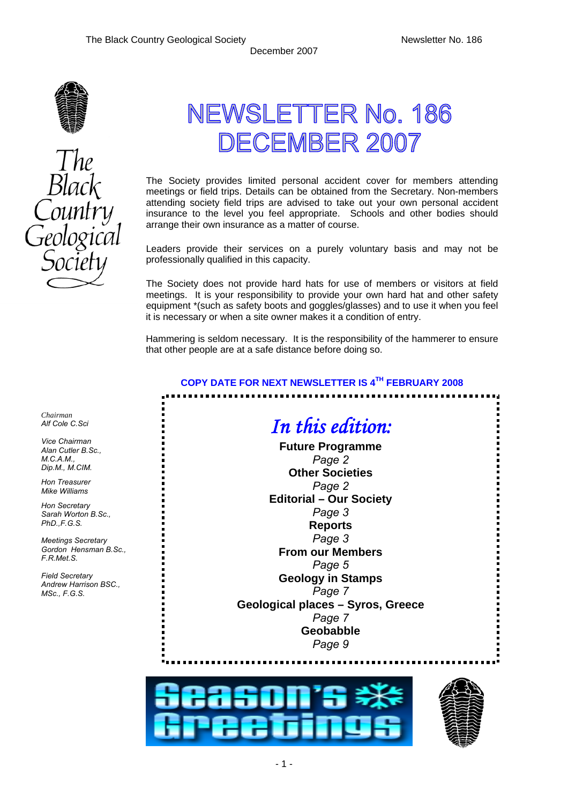

# NEWSLETTER No. 186 DECEMBER 2007

The Society provides limited personal accident cover for members attending meetings or field trips. Details can be obtained from the Secretary. Non-members attending society field trips are advised to take out your own personal accident insurance to the level you feel appropriate. Schools and other bodies should arrange their own insurance as a matter of course.

Leaders provide their services on a purely voluntary basis and may not be professionally qualified in this capacity.

The Society does not provide hard hats for use of members or visitors at field meetings. It is your responsibility to provide your own hard hat and other safety equipment \*(such as safety boots and goggles/glasses) and to use it when you feel it is necessary or when a site owner makes it a condition of entry.

Hammering is seldom necessary. It is the responsibility of the hammerer to ensure that other people are at a safe distance before doing so.

## **COPY DATE FOR NEXT NEWSLETTER IS 4TH FEBRUARY 2008**

..........................

## *In this edition:*  **Future Programme**  *Page 2*  **Other Societies**  *Page 2*  **Editorial – Our Society**  *Page 3*  **Reports**  *Page 3*  **From our Members**  *Page 5*  **Geology in Stamps**  *Page 7*  **Geological places – Syros, Greece**  *Page 7*  **Geobabble**  *Page 9*





*Chairman Alf Cole C.Sci* 

*Vice Chairman Alan Cutler B.Sc., M.C.A.M., Dip.M., M.CIM.* 

*Hon Treasurer Mike Williams* 

*Hon Secretary Sarah Worton B.Sc., PhD.,F.G.S.* 

*Meetings Secretary Gordon Hensman B.Sc., F.R.Met.S.* 

*Field Secretary Andrew Harrison BSC., MSc., F.G.S.* 

- 1 -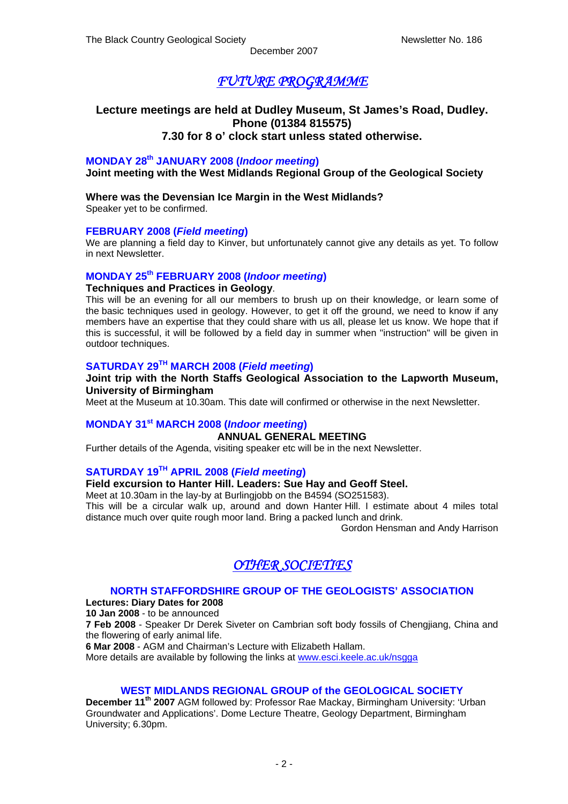## *FUTURE PROGRAMME*

## **Lecture meetings are held at Dudley Museum, St James's Road, Dudley. Phone (01384 815575) 7.30 for 8 o' clock start unless stated otherwise.**

## **MONDAY 28th JANUARY 2008 (***Indoor meeting***)**

**Joint meeting with the West Midlands Regional Group of the Geological Society** 

## **Where was the Devensian Ice Margin in the West Midlands?**

Speaker yet to be confirmed.

#### **FEBRUARY 2008 (***Field meeting***)**

We are planning a field day to Kinver, but unfortunately cannot give any details as yet. To follow in next Newsletter.

## **MONDAY 25th FEBRUARY 2008 (***Indoor meeting***)**

#### **Techniques and Practices in Geology**.

This will be an evening for all our members to brush up on their knowledge, or learn some of the basic techniques used in geology. However, to get it off the ground, we need to know if any members have an expertise that they could share with us all, please let us know. We hope that if this is successful, it will be followed by a field day in summer when "instruction" will be given in outdoor techniques.

## **SATURDAY 29TH MARCH 2008 (***Field meeting***)**

## **Joint trip with the North Staffs Geological Association to the Lapworth Museum, University of Birmingham**

Meet at the Museum at 10.30am. This date will confirmed or otherwise in the next Newsletter.

## **MONDAY 31st MARCH 2008 (***Indoor meeting***)**

## **ANNUAL GENERAL MEETING**

Further details of the Agenda, visiting speaker etc will be in the next Newsletter.

## **SATURDAY 19TH APRIL 2008 (***Field meeting***)**

**Field excursion to Hanter Hill. Leaders: Sue Hay and Geoff Steel.** 

Meet at 10.30am in the lay-by at Burlingjobb on the B4594 (SO251583).

This will be a circular walk up, around and down Hanter Hill. I estimate about 4 miles total distance much over quite rough moor land. Bring a packed lunch and drink.

Gordon Hensman and Andy Harrison

## *OTHER SOCIETIES*

## **NORTH STAFFORDSHIRE GROUP OF THE GEOLOGISTS' ASSOCIATION**

**Lectures: Diary Dates for 2008** 

**10 Jan 2008** - to be announced

**7 Feb 2008** - Speaker Dr Derek Siveter on Cambrian soft body fossils of Chengjiang, China and the flowering of early animal life.

**6 Mar 2008** - AGM and Chairman's Lecture with Elizabeth Hallam.

More details are available by following the links at [www.esci.keele.ac.uk/nsgga](http://www.esci.keele.ac.uk/nsgga)

#### **WEST MIDLANDS REGIONAL GROUP of the GEOLOGICAL SOCIETY**

**December 11th 2007** AGM followed by: Professor Rae Mackay, Birmingham University: 'Urban Groundwater and Applications'. Dome Lecture Theatre, Geology Department, Birmingham University; 6.30pm.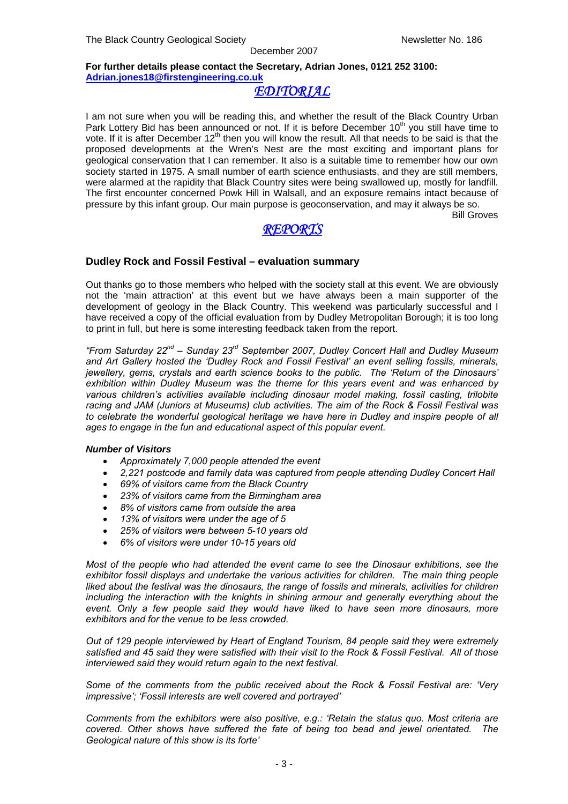#### **For further details please contact the Secretary, Adrian Jones, 0121 252 3100: [Adrian.jones18@firstengineering.co.uk](mailto:Adrian.jones18@firstengineering.co.uk)**

## *EDITORIAL*

I am not sure when you will be reading this, and whether the result of the Black Country Urban Park Lottery Bid has been announced or not. If it is before December 10<sup>th</sup> you still have time to vote. If it is after December 12<sup>th</sup> then you will know the result. All that needs to be said is that the proposed developments at the Wren's Nest are the most exciting and important plans for geological conservation that I can remember. It also is a suitable time to remember how our own society started in 1975. A small number of earth science enthusiasts, and they are still members, were alarmed at the rapidity that Black Country sites were being swallowed up, mostly for landfill. The first encounter concerned Powk Hill in Walsall, and an exposure remains intact because of pressure by this infant group. Our main purpose is geoconservation, and may it always be so.

Bill Groves

## *REPORTS*

## **Dudley Rock and Fossil Festival – evaluation summary**

Out thanks go to those members who helped with the society stall at this event. We are obviously not the 'main attraction' at this event but we have always been a main supporter of the development of geology in the Black Country. This weekend was particularly successful and I have received a copy of the official evaluation from by Dudley Metropolitan Borough; it is too long to print in full, but here is some interesting feedback taken from the report.

*"From Saturday 22nd – Sunday 23rd September 2007, Dudley Concert Hall and Dudley Museum and Art Gallery hosted the 'Dudley Rock and Fossil Festival' an event selling fossils, minerals, jewellery, gems, crystals and earth science books to the public. The 'Return of the Dinosaurs' exhibition within Dudley Museum was the theme for this years event and was enhanced by various children's activities available including dinosaur model making, fossil casting, trilobite racing and JAM (Juniors at Museums) club activities. The aim of the Rock & Fossil Festival was to celebrate the wonderful geological heritage we have here in Dudley and inspire people of all ages to engage in the fun and educational aspect of this popular event.* 

#### *Number of Visitors*

- *Approximately 7,000 people attended the event*
- *2,221 postcode and family data was captured from people attending Dudley Concert Hall*
- *69% of visitors came from the Black Country*
- *23% of visitors came from the Birmingham area*
- *8% of visitors came from outside the area*
- *13% of visitors were under the age of 5*
- *25% of visitors were between 5-10 years old*
- *6% of visitors were under 10-15 years old*

*Most of the people who had attended the event came to see the Dinosaur exhibitions, see the exhibitor fossil displays and undertake the various activities for children. The main thing people liked about the festival was the dinosaurs, the range of fossils and minerals, activities for children including the interaction with the knights in shining armour and generally everything about the event. Only a few people said they would have liked to have seen more dinosaurs, more exhibitors and for the venue to be less crowded.* 

*Out of 129 people interviewed by Heart of England Tourism, 84 people said they were extremely satisfied and 45 said they were satisfied with their visit to the Rock & Fossil Festival. All of those interviewed said they would return again to the next festival.* 

*Some of the comments from the public received about the Rock & Fossil Festival are: 'Very impressive'; 'Fossil interests are well covered and portrayed'* 

*Comments from the exhibitors were also positive, e.g.: 'Retain the status quo. Most criteria are covered. Other shows have suffered the fate of being too bead and jewel orientated. The Geological nature of this show is its forte'*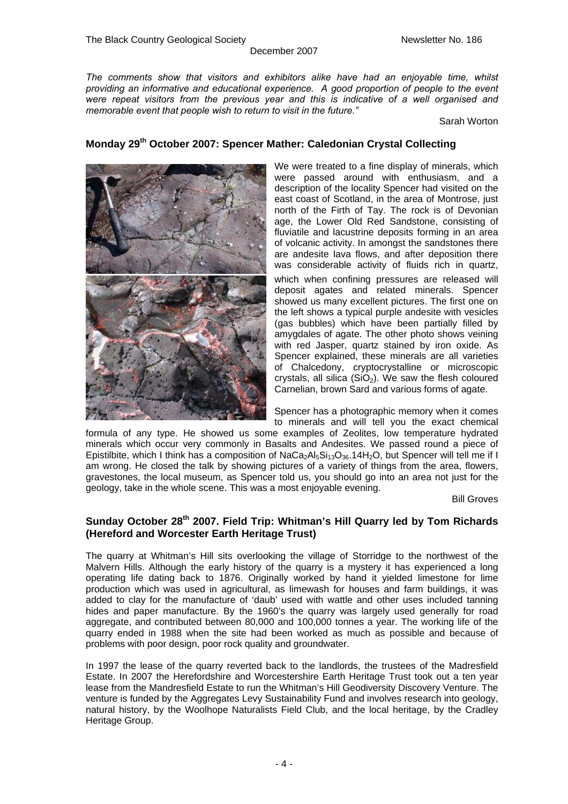*The comments show that visitors and exhibitors alike have had an enjoyable time, whilst providing an informative and educational experience. A good proportion of people to the event were repeat visitors from the previous year and this is indicative of a well organised and memorable event that people wish to return to visit in the future."* 

December 2007

Sarah Worton

## **Monday 29th October 2007: Spencer Mather: Caledonian Crystal Collecting**



We were treated to a fine display of minerals, which were passed around with enthusiasm, and a description of the locality Spencer had visited on the east coast of Scotland, in the area of Montrose, just north of the Firth of Tay. The rock is of Devonian age, the Lower Old Red Sandstone, consisting of fluviatile and lacustrine deposits forming in an area of volcanic activity. In amongst the sandstones there are andesite lava flows, and after deposition there was considerable activity of fluids rich in quartz, which when confining pressures are released will deposit agates and related minerals. Spencer showed us many excellent pictures. The first one on the left shows a typical purple andesite with vesicles (gas bubbles) which have been partially filled by amygdales of agate. The other photo shows veining with red Jasper, quartz stained by iron oxide. As Spencer explained, these minerals are all varieties of Chalcedony, cryptocrystalline or microscopic crystals, all silica  $(SiO<sub>2</sub>)$ . We saw the flesh coloured Carnelian, brown Sard and various forms of agate.

Spencer has a photographic memory when it comes to minerals and will tell you the exact chemical

formula of any type. He showed us some examples of Zeolites, low temperature hydrated minerals which occur very commonly in Basalts and Andesites. We passed round a piece of Epistilbite, which I think has a composition of  $N_aC_a$ <sub>2</sub>Al<sub>5</sub>Si<sub>13</sub>O<sub>36</sub>.14H<sub>2</sub>O, but Spencer will tell me if I am wrong. He closed the talk by showing pictures of a variety of things from the area, flowers, gravestones, the local museum, as Spencer told us, you should go into an area not just for the geology, take in the whole scene. This was a most enjoyable evening.

Bill Groves

## **Sunday October 28th 2007. Field Trip: Whitman's Hill Quarry led by Tom Richards (Hereford and Worcester Earth Heritage Trust)**

The quarry at Whitman's Hill sits overlooking the village of Storridge to the northwest of the Malvern Hills. Although the early history of the quarry is a mystery it has experienced a long operating life dating back to 1876. Originally worked by hand it yielded limestone for lime production which was used in agricultural, as limewash for houses and farm buildings, it was added to clay for the manufacture of 'daub' used with wattle and other uses included tanning hides and paper manufacture. By the 1960's the quarry was largely used generally for road aggregate, and contributed between 80,000 and 100,000 tonnes a year. The working life of the quarry ended in 1988 when the site had been worked as much as possible and because of problems with poor design, poor rock quality and groundwater.

In 1997 the lease of the quarry reverted back to the landlords, the trustees of the Madresfield Estate. In 2007 the Herefordshire and Worcestershire Earth Heritage Trust took out a ten year lease from the Mandresfield Estate to run the Whitman's Hill Geodiversity Discovery Venture. The venture is funded by the Aggregates Levy Sustainability Fund and involves research into geology, natural history, by the Woolhope Naturalists Field Club, and the local heritage, by the Cradley Heritage Group.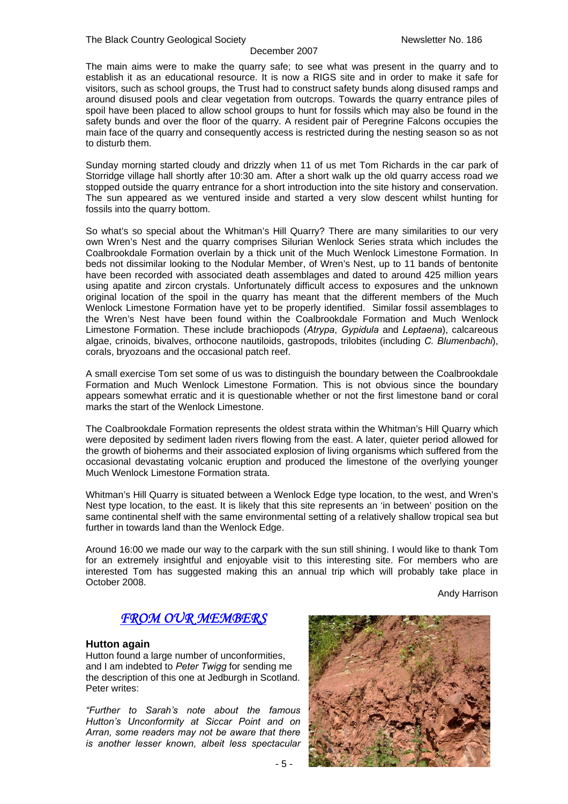The main aims were to make the quarry safe; to see what was present in the quarry and to establish it as an educational resource. It is now a RIGS site and in order to make it safe for visitors, such as school groups, the Trust had to construct safety bunds along disused ramps and around disused pools and clear vegetation from outcrops. Towards the quarry entrance piles of spoil have been placed to allow school groups to hunt for fossils which may also be found in the safety bunds and over the floor of the quarry. A resident pair of Peregrine Falcons occupies the main face of the quarry and consequently access is restricted during the nesting season so as not to disturb them.

Sunday morning started cloudy and drizzly when 11 of us met Tom Richards in the car park of Storridge village hall shortly after 10:30 am. After a short walk up the old quarry access road we stopped outside the quarry entrance for a short introduction into the site history and conservation. The sun appeared as we ventured inside and started a very slow descent whilst hunting for fossils into the quarry bottom.

So what's so special about the Whitman's Hill Quarry? There are many similarities to our very own Wren's Nest and the quarry comprises Silurian Wenlock Series strata which includes the Coalbrookdale Formation overlain by a thick unit of the Much Wenlock Limestone Formation. In beds not dissimilar looking to the Nodular Member, of Wren's Nest, up to 11 bands of bentonite have been recorded with associated death assemblages and dated to around 425 million years using apatite and zircon crystals. Unfortunately difficult access to exposures and the unknown original location of the spoil in the quarry has meant that the different members of the Much Wenlock Limestone Formation have yet to be properly identified. Similar fossil assemblages to the Wren's Nest have been found within the Coalbrookdale Formation and Much Wenlock Limestone Formation. These include brachiopods (*Atrypa*, *Gypidula* and *Leptaena*), calcareous algae, crinoids, bivalves, orthocone nautiloids, gastropods, trilobites (including *C. Blumenbachi*), corals, bryozoans and the occasional patch reef.

A small exercise Tom set some of us was to distinguish the boundary between the Coalbrookdale Formation and Much Wenlock Limestone Formation. This is not obvious since the boundary appears somewhat erratic and it is questionable whether or not the first limestone band or coral marks the start of the Wenlock Limestone.

The Coalbrookdale Formation represents the oldest strata within the Whitman's Hill Quarry which were deposited by sediment laden rivers flowing from the east. A later, quieter period allowed for the growth of bioherms and their associated explosion of living organisms which suffered from the occasional devastating volcanic eruption and produced the limestone of the overlying younger Much Wenlock Limestone Formation strata.

Whitman's Hill Quarry is situated between a Wenlock Edge type location, to the west, and Wren's Nest type location, to the east. It is likely that this site represents an 'in between' position on the same continental shelf with the same environmental setting of a relatively shallow tropical sea but further in towards land than the Wenlock Edge.

Around 16:00 we made our way to the carpark with the sun still shining. I would like to thank Tom for an extremely insightful and enjoyable visit to this interesting site. For members who are interested Tom has suggested making this an annual trip which will probably take place in October 2008.

Andy Harrison

## *FROM OUR MEMBERS*

## **Hutton again**

Hutton found a large number of unconformities, and I am indebted to *Peter Twigg* for sending me the description of this one at Jedburgh in Scotland. Peter writes:

*"Further to Sarah's note about the famous Hutton's Unconformity at Siccar Point and on Arran, some readers may not be aware that there is another lesser known, albeit less spectacular* 

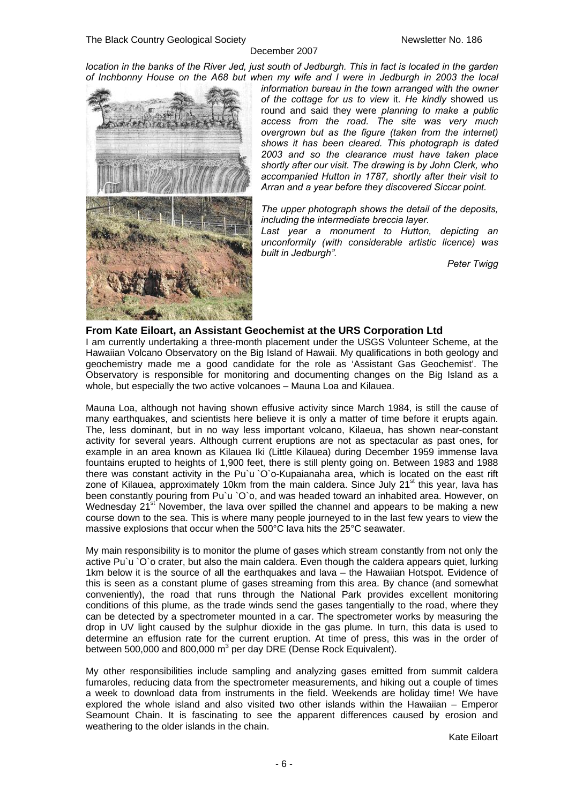*location in the banks of the River Jed, just south of Jedburgh. This in fact is located in the garden of Inchbonny House on the A68 but when my wife and I were in Jedburgh in 2003 the local* 



*information bureau in the town arranged with the owner of the cottage for us to view* it. *He kindly* showed us round and said they were *planning to make a public access from the road. The site was very much overgrown but as the figure (taken from the internet) shows it has been cleared. This photograph is dated 2003 and so the clearance must have taken place shortly after our visit. The drawing is by John Clerk, who accompanied Hutton in 1787, shortly after their visit to Arran and a year before they discovered Siccar point.*

*The upper photograph shows the detail of the deposits, including the intermediate breccia layer.* 

*Last year a monument to Hutton, depicting an unconformity (with considerable artistic licence) was built in Jedburgh".* 

*Peter Twigg* 

## **From Kate Eiloart, an Assistant Geochemist at the URS Corporation Ltd**

I am currently undertaking a three-month placement under the USGS Volunteer Scheme, at the Hawaiian Volcano Observatory on the Big Island of Hawaii. My qualifications in both geology and geochemistry made me a good candidate for the role as 'Assistant Gas Geochemist'. The Observatory is responsible for monitoring and documenting changes on the Big Island as a whole, but especially the two active volcanoes – Mauna Loa and Kilauea.

Mauna Loa, although not having shown effusive activity since March 1984, is still the cause of many earthquakes, and scientists here believe it is only a matter of time before it erupts again. The, less dominant, but in no way less important volcano, Kilaeua, has shown near-constant activity for several years. Although current eruptions are not as spectacular as past ones, for example in an area known as Kilauea Iki (Little Kilauea) during December 1959 immense lava fountains erupted to heights of 1,900 feet, there is still plenty going on. Between 1983 and 1988 there was constant activity in the Pu`u `O`o-Kupaianaha area, which is located on the east rift zone of Kilauea, approximately 10km from the main caldera. Since July  $21<sup>st</sup>$  this year, lava has been constantly pouring from Pu`u `O`o, and was headed toward an inhabited area. However, on Wednesday  $21^{st}$  November, the lava over spilled the channel and appears to be making a new course down to the sea. This is where many people journeyed to in the last few years to view the massive explosions that occur when the 500°C lava hits the 25°C seawater.

My main responsibility is to monitor the plume of gases which stream constantly from not only the active Pu`u `O`o crater, but also the main caldera. Even though the caldera appears quiet, lurking 1km below it is the source of all the earthquakes and lava – the Hawaiian Hotspot. Evidence of this is seen as a constant plume of gases streaming from this area. By chance (and somewhat conveniently), the road that runs through the National Park provides excellent monitoring conditions of this plume, as the trade winds send the gases tangentially to the road, where they can be detected by a spectrometer mounted in a car. The spectrometer works by measuring the drop in UV light caused by the sulphur dioxide in the gas plume. In turn, this data is used to determine an effusion rate for the current eruption. At time of press, this was in the order of between 500,000 and 800,000  $m^3$  per day DRE (Dense Rock Equivalent).

My other responsibilities include sampling and analyzing gases emitted from summit caldera fumaroles, reducing data from the spectrometer measurements, and hiking out a couple of times a week to download data from instruments in the field. Weekends are holiday time! We have explored the whole island and also visited two other islands within the Hawaiian – Emperor Seamount Chain. It is fascinating to see the apparent differences caused by erosion and weathering to the older islands in the chain.

Kate Eiloart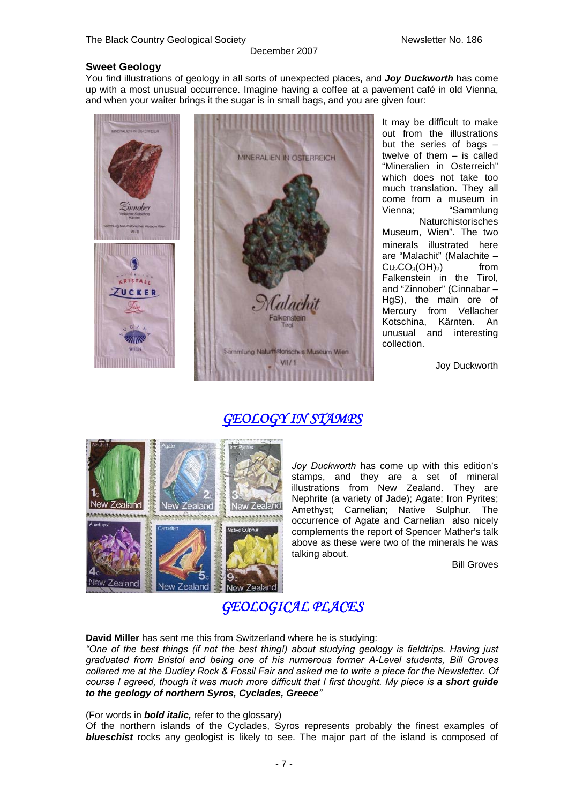#### **Sweet Geology**

You find illustrations of geology in all sorts of unexpected places, and *Joy Duckworth* has come up with a most unusual occurrence. Imagine having a coffee at a pavement café in old Vienna, and when your waiter brings it the sugar is in small bags, and you are given four:

December 2007



It may be difficult to make out from the illustrations but the series of bags  $$ twelve of them – is called "Mineralien in Osterreich" which does not take too much translation. They all come from a museum in<br>Vienna: "Sammlung "Sammlung **Naturchistorisches** Museum, Wien". The two minerals illustrated here are "Malachit" (Malachite –  $Cu<sub>2</sub>CO<sub>3</sub>(OH)<sub>2</sub>$  from Falkenstein in the Tirol, and "Zinnober" (Cinnabar – HgS), the main ore of Mercury from Vellacher Kotschina, Kärnten. An unusual and interesting collection.

Joy Duckworth

## *GEOLOGY IN STAMPS*



*Joy Duckworth* has come up with this edition's stamps, and they are a set of mineral illustrations from New Zealand. They are Nephrite (a variety of Jade); Agate; Iron Pyrites; Amethyst; Carnelian; Native Sulphur. The occurrence of Agate and Carnelian also nicely complements the report of Spencer Mather's talk above as these were two of the minerals he was talking about.

Bill Groves

*GEOLOGICAL PLACES* 

**David Miller** has sent me this from Switzerland where he is studying:

*"One of the best things (if not the best thing!) about studying geology is fieldtrips. Having just graduated from Bristol and being one of his numerous former A-Level students, Bill Groves collared me at the Dudley Rock & Fossil Fair and asked me to write a piece for the Newsletter. Of course I agreed, though it was much more difficult that I first thought. My piece is a short guide to the geology of northern Syros, Cyclades, Greece"* 

(For words in *bold italic,* refer to the glossary)

Of the northern islands of the Cyclades, Syros represents probably the finest examples of *blueschist* rocks any geologist is likely to see. The major part of the island is composed of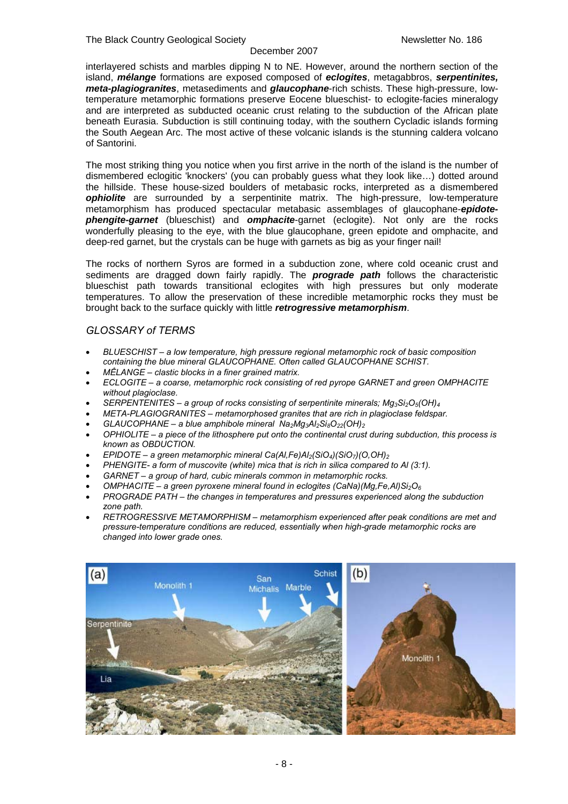interlayered schists and marbles dipping N to NE. However, around the northern section of the island, *mélange* formations are exposed composed of *eclogites*, metagabbros, *serpentinites, meta-plagiogranites*, metasediments and *glaucophane*-rich schists. These high-pressure, lowtemperature metamorphic formations preserve Eocene blueschist- to eclogite-facies mineralogy and are interpreted as subducted oceanic crust relating to the subduction of the African plate beneath Eurasia. Subduction is still continuing today, with the southern Cycladic islands forming the South Aegean Arc. The most active of these volcanic islands is the stunning caldera volcano of Santorini.

The most striking thing you notice when you first arrive in the north of the island is the number of dismembered eclogitic 'knockers' (you can probably guess what they look like…) dotted around the hillside. These house-sized boulders of metabasic rocks, interpreted as a dismembered **ophiolite** are surrounded by a serpentinite matrix. The high-pressure, low-temperature metamorphism has produced spectacular metabasic assemblages of glaucophane-*epidotephengite-garnet* (blueschist) and *omphacite*-garnet (eclogite). Not only are the rocks wonderfully pleasing to the eye, with the blue glaucophane, green epidote and omphacite, and deep-red garnet, but the crystals can be huge with garnets as big as your finger nail!

The rocks of northern Syros are formed in a subduction zone, where cold oceanic crust and sediments are dragged down fairly rapidly. The *prograde path* follows the characteristic blueschist path towards transitional eclogites with high pressures but only moderate temperatures. To allow the preservation of these incredible metamorphic rocks they must be brought back to the surface quickly with little *retrogressive metamorphism*.

## *GLOSSARY of TERMS*

- *BLUESCHIST a low temperature, high pressure regional metamorphic rock of basic composition containing the blue mineral GLAUCOPHANE. Often called GLAUCOPHANE SCHIST.*
- *MỂLANGE clastic blocks in a finer grained matrix.*
- *ECLOGITE a coarse, metamorphic rock consisting of red pyrope GARNET and green OMPHACITE without plagioclase.*
- *SERPENTENITES a group of rocks consisting of serpentinite minerals; Mg3Si2O5(OH)4*
- *META-PLAGIOGRANITES metamorphosed granites that are rich in plagioclase feldspar.*
- *GLAUCOPHANE a blue amphibole mineral Na2Mg3Al2Si8O22(OH)2*
- *OPHIOLITE a piece of the lithosphere put onto the continental crust during subduction, this process is known as OBDUCTION.*
- *EPIDOTE a green metamorphic mineral Ca(Al,Fe)Al2(SiO4)(SiO7)(O,OH)2*
- *PHENGITE- a form of muscovite (white) mica that is rich in silica compared to Al (3:1).*
- *GARNET a group of hard, cubic minerals common in metamorphic rocks.*
- *OMPHACITE a green pyroxene mineral found in eclogites (CaNa)(Mg,Fe,Al)Si2O6*
- *PROGRADE PATH the changes in temperatures and pressures experienced along the subduction zone path.*
- *RETROGRESSIVE METAMORPHISM metamorphism experienced after peak conditions are met and pressure-temperature conditions are reduced, essentially when high-grade metamorphic rocks are changed into lower grade ones.*

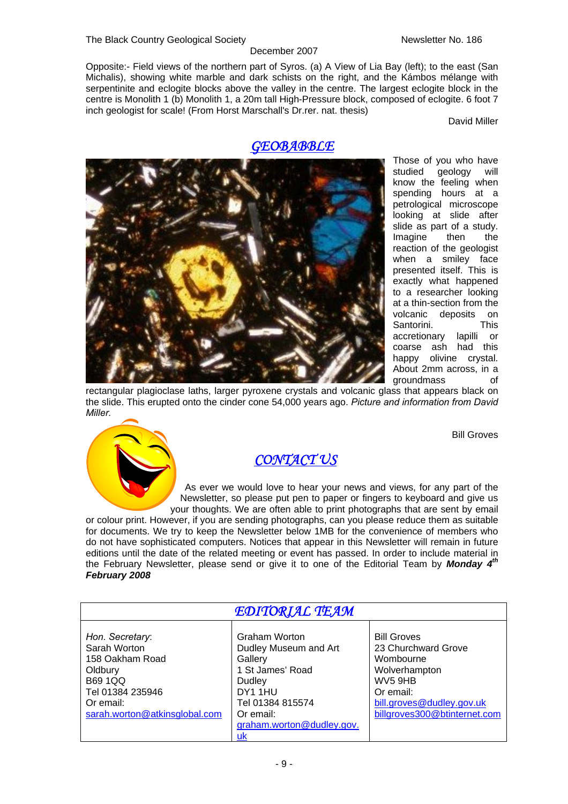#### The Black Country Geological Society Newsletter No. 186

#### December 2007

Opposite:- Field views of the northern part of Syros. (a) A View of Lia Bay (left); to the east (San Michalis), showing white marble and dark schists on the right, and the Kámbos mélange with serpentinite and eclogite blocks above the valley in the centre. The largest eclogite block in the centre is Monolith 1 (b) Monolith 1, a 20m tall High-Pressure block, composed of eclogite. 6 foot 7 inch geologist for scale! (From Horst Marschall's Dr.rer. nat. thesis)

David Miller

## *GEOBABBLE*



Those of you who have studied geology will know the feeling when spending hours at a petrological microscope looking at slide after slide as part of a study.<br>Imagine then the Imagine then the reaction of the geologist when a smiley face presented itself. This is exactly what happened to a researcher looking at a thin-section from the volcanic deposits on Santorini. This accretionary lapilli or coarse ash had this happy olivine crystal. About 2mm across, in a groundmass of

Bill Groves

rectangular plagioclase laths, larger pyroxene crystals and volcanic glass that appears black on the slide. This erupted onto the cinder cone 54,000 years ago. *Picture and information from David Miller.* 



## *CONTACT US*

As ever we would love to hear your news and views, for any part of the Newsletter, so please put pen to paper or fingers to keyboard and give us your thoughts. We are often able to print photographs that are sent by email

or colour print. However, if you are sending photographs, can you please reduce them as suitable for documents. We try to keep the Newsletter below 1MB for the convenience of members who do not have sophisticated computers. Notices that appear in this Newsletter will remain in future editions until the date of the related meeting or event has passed. In order to include material in the February Newsletter, please send or give it to one of the Editorial Team by *Monday 4th February 2008* 

| EDITORIAL TEAM |  |
|----------------|--|
|----------------|--|

| Hon. Secretary:               | <b>Graham Worton</b>      | <b>Bill Groves</b>           |
|-------------------------------|---------------------------|------------------------------|
| Sarah Worton                  | Dudley Museum and Art     | 23 Churchward Grove          |
| 158 Oakham Road               | Gallery                   | Wombourne                    |
| Oldbury                       | 1 St James' Road          | Wolverhampton                |
| <b>B69 1QQ</b>                | Dudley                    | WV5 9HB                      |
| Tel 01384 235946              | DY11HU                    | Or email:                    |
| Or email:                     | Tel 01384 815574          | bill.groves@dudley.gov.uk    |
| sarah.worton@atkinsglobal.com | Or email:                 | billgroves300@btinternet.com |
|                               | graham.worton@dudley.gov. |                              |
|                               | uk                        |                              |